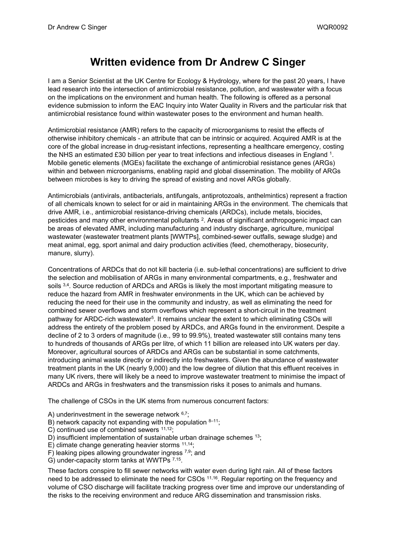## **Written evidence from Dr Andrew C Singer**

I am a Senior Scientist at the UK Centre for Ecology & Hydrology, where for the past 20 years, I have lead research into the intersection of antimicrobial resistance, pollution, and wastewater with a focus on the implications on the environment and human health. The following is offered as a personal evidence submission to inform the EAC Inquiry into Water Quality in Rivers and the particular risk that antimicrobial resistance found within wastewater poses to the environment and human health.

Antimicrobial resistance (AMR) refers to the capacity of microorganisms to resist the effects of otherwise inhibitory chemicals - an attribute that can be intrinsic or acquired. Acquired AMR is at the core of the global increase in drug-resistant infections, representing a healthcare emergency, costing the NHS an estimated £30 billion per year to treat infections and infectious diseases in England 1. Mobile genetic elements (MGEs) facilitate the exchange of antimicrobial resistance genes (ARGs) within and between microorganisms, enabling rapid and global dissemination. The mobility of ARGs between microbes is key to driving the spread of existing and novel ARGs globally.

Antimicrobials (antivirals, antibacterials, antifungals, antiprotozoals, anthelmintics) represent a fraction of all chemicals known to select for or aid in maintaining ARGs in the environment. The chemicals that drive AMR, i.e., antimicrobial resistance-driving chemicals (ARDCs), include metals, biocides, pesticides and many other environmental pollutants <sup>2</sup>. Areas of significant anthropogenic impact can be areas of elevated AMR, including manufacturing and industry discharge, agriculture, municipal wastewater (wastewater treatment plants [WWTPs], combined-sewer outfalls, sewage sludge) and meat animal, egg, sport animal and dairy production activities (feed, chemotherapy, biosecurity, manure, slurry).

Concentrations of ARDCs that do not kill bacteria (i.e. sub-lethal concentrations) are sufficient to drive the selection and mobilisation of ARGs in many environmental compartments, e.g., freshwater and soils 3.4. Source reduction of ARDCs and ARGs is likely the most important mitigating measure to reduce the hazard from AMR in freshwater environments in the UK, which can be achieved by reducing the need for their use in the community and industry, as well as eliminating the need for combined sewer overflows and storm overflows which represent a short-circuit in the treatment pathway for ARDC-rich wastewater<sup>5</sup>. It remains unclear the extent to which eliminating CSOs will address the entirety of the problem posed by ARDCs, and ARGs found in the environment. Despite a decline of 2 to 3 orders of magnitude (i.e., 99 to 99.9%), treated wastewater still contains many tens to hundreds of thousands of ARGs per litre, of which 11 billion are released into UK waters per day. Moreover, agricultural sources of ARDCs and ARGs can be substantial in some catchments, introducing animal waste directly or indirectly into freshwaters. Given the abundance of wastewater treatment plants in the UK (nearly 9,000) and the low degree of dilution that this effluent receives in many UK rivers, there will likely be a need to improve wastewater treatment to minimise the impact of ARDCs and ARGs in freshwaters and the transmission risks it poses to animals and humans.

The challenge of CSOs in the UK stems from numerous concurrent factors:

- A) underinvestment in the sewerage network  $6.7$ ;
- B) network capacity not expanding with the population  $8-11$ ;
- C) continued use of combined sewers <sup>11,12</sup>;
- D) insufficient implementation of sustainable urban drainage schemes <sup>13</sup>;
- E) climate change generating heavier storms  $11,14$ ;
- F) leaking pipes allowing groundwater ingress  $7,9$ ; and
- G) under-capacity storm tanks at WWTPs 7,15.

These factors conspire to fill sewer networks with water even during light rain. All of these factors need to be addressed to eliminate the need for CSOs <sup>11,16</sup>. Regular reporting on the frequency and volume of CSO discharge will facilitate tracking progress over time and improve our understanding of the risks to the receiving environment and reduce ARG dissemination and transmission risks.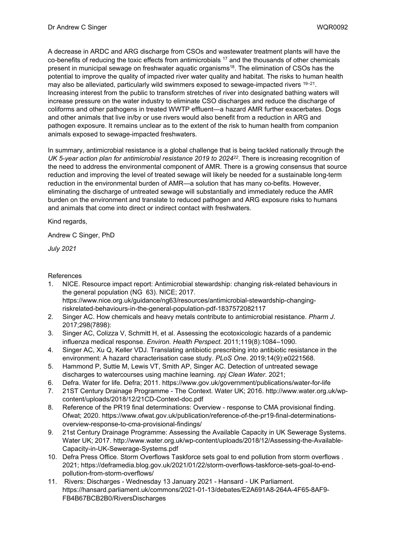A decrease in ARDC and ARG discharge from CSOs and wastewater treatment plants will have the co-benefits of reducing the toxic effects from antimicrobials  $17$  and the thousands of other chemicals present in municipal sewage on freshwater aquatic organisms<sup>18</sup>. The elimination of CSOs has the potential to improve the quality of impacted river water quality and habitat. The risks to human health may also be alleviated, particularly wild swimmers exposed to sewage-impacted rivers  $19-21$ . Increasing interest from the public to transform stretches of river into designated bathing waters will increase pressure on the water industry to eliminate CSO discharges and reduce the discharge of coliforms and other pathogens in treated WWTP effluent—a hazard AMR further exacerbates. Dogs and other animals that live in/by or use rivers would also benefit from a reduction in ARG and pathogen exposure. It remains unclear as to the extent of the risk to human health from companion animals exposed to sewage-impacted freshwaters.

In summary, antimicrobial resistance is a global challenge that is being tackled nationally through the *UK 5-year action plan for antimicrobial resistance 2019 to 2024<sup>22</sup>* . There is increasing recognition of the need to address the environmental component of AMR. There is a growing consensus that source reduction and improving the level of treated sewage will likely be needed for a sustainable long-term reduction in the environmental burden of AMR—a solution that has many co-befits. However, eliminating the discharge of untreated sewage will substantially and immediately reduce the AMR burden on the environment and translate to reduced pathogen and ARG exposure risks to humans and animals that come into direct or indirect contact with freshwaters.

Kind regards,

Andrew C Singer, PhD

*July 2021*

References

- 1. NICE. Resource impact report: Antimicrobial stewardship: changing risk-related behaviours in the general population (NG 63). NICE; 2017. https://www.nice.org.uk/guidance/ng63/resources/antimicrobial-stewardship-changingriskrelated-behaviours-in-the-general-population-pdf-1837572082117
- 2. Singer AC. How chemicals and heavy metals contribute to antimicrobial resistance. *Pharm J*. 2017;298(7898):
- 3. Singer AC, Colizza V, Schmitt H, et al. Assessing the ecotoxicologic hazards of a pandemic influenza medical response. *Environ. Health Perspect.* 2011;119(8):1084–1090.
- 4. Singer AC, Xu Q, Keller VDJ. Translating antibiotic prescribing into antibiotic resistance in the environment: A hazard characterisation case study. *PLoS One*. 2019;14(9):e0221568.
- 5. Hammond P, Suttie M, Lewis VT, Smith AP, Singer AC. Detection of untreated sewage discharges to watercourses using machine learning. *npj Clean Water*. 2021;
- 6. Defra. Water for life. Defra; 2011. https://www.gov.uk/government/publications/water-for-life
- 7. 21ST Century Drainage Programme The Context. Water UK; 2016. http://www.water.org.uk/wpcontent/uploads/2018/12/21CD-Context-doc.pdf
- 8. Reference of the PR19 final determinations: Overview response to CMA provisional finding. Ofwat; 2020. https://www.ofwat.gov.uk/publication/reference-of-the-pr19-final-determinationsoverview-response-to-cma-provisional-findings/
- 9. 21st Century Drainage Programme: Assessing the Available Capacity in UK Sewerage Systems. Water UK; 2017. http://www.water.org.uk/wp-content/uploads/2018/12/Assessing-the-Available-Capacity-in-UK-Sewerage-Systems.pdf
- 10. Defra Press Office. Storm Overflows Taskforce sets goal to end pollution from storm overflows . 2021; https://deframedia.blog.gov.uk/2021/01/22/storm-overflows-taskforce-sets-goal-to-endpollution-from-storm-overflows/
- 11. Rivers: Discharges Wednesday 13 January 2021 Hansard UK Parliament. https://hansard.parliament.uk/commons/2021-01-13/debates/E2A691A8-264A-4F65-8AF9- FB4B67BCB2B0/RiversDischarges